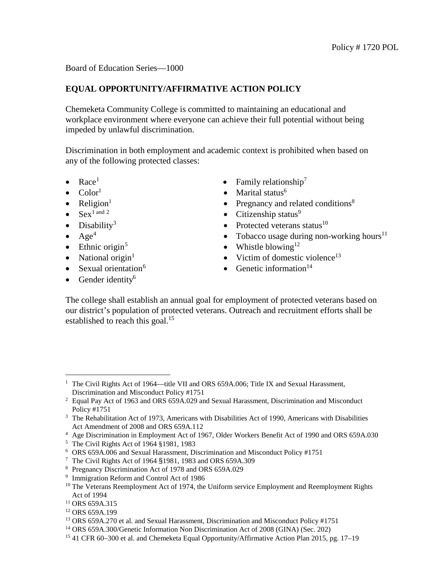Board of Education Series—1000

## **EQUAL OPPORTUNITY/AFFIRMATIVE ACTION POLICY**

Chemeketa Community College is committed to maintaining an educational and workplace environment where everyone can achieve their full potential without being impeded by unlawful discrimination.

Discrimination in both employment and academic context is prohibited when based on any of the following protected classes:

- 
- 
- 
- 
- 
- 
- 
- 
- 
- Gender identity<sup>6</sup>
- Race<sup>[1](#page-0-0)</sup> Family relationship<sup>7</sup>
- $Color<sup>1</sup>$  Marital status<sup>6</sup>
- Religion<sup>1</sup> Pregnancy and related conditions<sup>8</sup><br>• Sex<sup>1 and 2</sup> Citizenship status<sup>9</sup>
	- Citizenship status $9$
- Disability<sup>[3](#page-0-2)</sup> Protected veterans status<sup>10</sup>
- $Age<sup>4</sup>$  $Age<sup>4</sup>$  $Age<sup>4</sup>$  Tobacco usage during non-working hours<sup>11</sup>
- Ethnic origin<sup>[5](#page-0-4)</sup> Whistle blowing<sup>12</sup>
- National origin<sup>1</sup> Victim of domestic violence<sup>13</sup>
- Sexual orientation<sup>[6](#page-0-5)</sup> Genetic information<sup>14</sup>

The college shall establish an annual goal for employment of protected veterans based on our district's population of protected veterans. Outreach and recruitment efforts shall be established to reach this goal.<sup>15</sup>

<span id="page-0-0"></span>ī <sup>1</sup> The Civil Rights Act of 1964—title VII and ORS 659A.006; Title IX and Sexual Harassment, Discrimination and Misconduct Policy #1751

<span id="page-0-1"></span><sup>&</sup>lt;sup>2</sup> Equal Pay Act of 1963 and ORS 659A.029 and Sexual Harassment, Discrimination and Misconduct Policy #1751

<span id="page-0-2"></span><sup>&</sup>lt;sup>3</sup> The Rehabilitation Act of 1973, Americans with Disabilities Act of 1990, Americans with Disabilities Act Amendment of 2008 and ORS 659A.112

<sup>4</sup> Age Discrimination in Employment Act of 1967, Older Workers Benefit Act of 1990 and ORS 659A.030

<span id="page-0-5"></span><span id="page-0-4"></span><span id="page-0-3"></span><sup>5</sup> The Civil Rights Act of 1964 §1981, 1983

<sup>6</sup> ORS 659A.006 and Sexual Harassment, Discrimination and Misconduct Policy #1751

<sup>7</sup> The Civil Rights Act of 1964 §1981, 1983 and ORS 659A.309

<sup>8</sup> Pregnancy Discrimination Act of 1978 and ORS 659A.029

<sup>9</sup> Immigration Reform and Control Act of 1986

<sup>&</sup>lt;sup>10</sup> The Veterans Reemployment Act of 1974, the Uniform service Employment and Reemployment Rights Act of 1994

<sup>&</sup>lt;sup>11</sup> ORS 659A.315

<sup>12</sup> ORS 659A.199

<sup>&</sup>lt;sup>13</sup> ORS 659A.270 et al. and Sexual Harassment, Discrimination and Misconduct Policy #1751

<sup>14</sup> ORS 659A.300/Genetic Information Non Discrimination Act of 2008 (GINA) (Sec. 202)

<sup>15</sup> 41 CFR 60–300 et al. and Chemeketa Equal Opportunity/Affirmative Action Plan 2015, pg. 17–19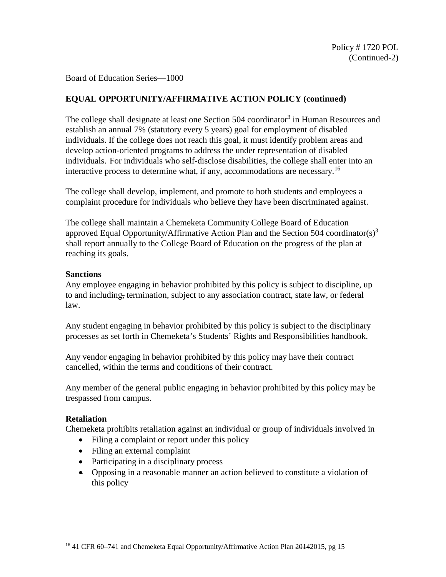Board of Education Series—1000

# **EQUAL OPPORTUNITY/AFFIRMATIVE ACTION POLICY (continued)**

The college shall designate at least one Section 504 coordinator<sup>3</sup> in Human Resources and establish an annual 7% (statutory every 5 years) goal for employment of disabled individuals. If the college does not reach this goal, it must identify problem areas and develop action-oriented programs to address the under representation of disabled individuals. For individuals who self-disclose disabilities, the college shall enter into an interactive process to determine what, if any, accommodations are necessary. [1](#page-1-0)6

The college shall develop, implement, and promote to both students and employees a complaint procedure for individuals who believe they have been discriminated against.

The college shall maintain a Chemeketa Community College Board of Education approved Equal Opportunity/Affirmative Action Plan and the Section 504 coordinator(s)<sup>3</sup> shall report annually to the College Board of Education on the progress of the plan at reaching its goals.

#### **Sanctions**

Any employee engaging in behavior prohibited by this policy is subject to discipline, up to and including, termination, subject to any association contract, state law, or federal law.

Any student engaging in behavior prohibited by this policy is subject to the disciplinary processes as set forth in Chemeketa's Students' Rights and Responsibilities handbook.

Any vendor engaging in behavior prohibited by this policy may have their contract cancelled, within the terms and conditions of their contract.

Any member of the general public engaging in behavior prohibited by this policy may be trespassed from campus.

## **Retaliation**

Chemeketa prohibits retaliation against an individual or group of individuals involved in

- Filing a complaint or report under this policy
- Filing an external complaint
- Participating in a disciplinary process
- Opposing in a reasonable manner an action believed to constitute a violation of this policy

<span id="page-1-0"></span>Ĩ. <sup>16</sup> 41 CFR 60-741 and Chemeketa Equal Opportunity/Affirmative Action Plan 20142015, pg 15